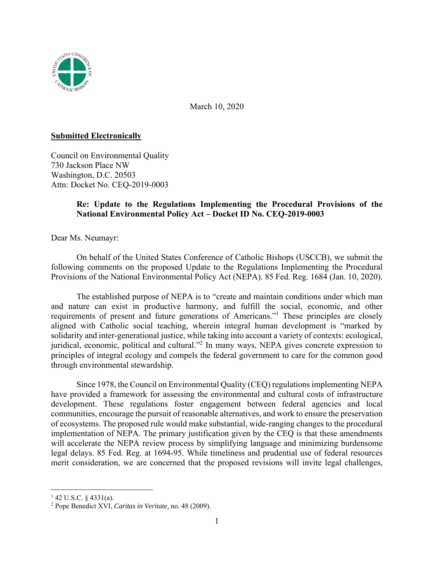

March 10, 2020

## **Submitted Electronically**

Council on Environmental Quality 730 Jackson Place NW Washington, D.C. 20503 Attn: Docket No. CEQ-2019-0003

# **Re: Update to the Regulations Implementing the Procedural Provisions of the National Environmental Policy Act – Docket ID No. CEQ-2019-0003**

Dear Ms. Neumayr:

 On behalf of the United States Conference of Catholic Bishops (USCCB), we submit the following comments on the proposed Update to the Regulations Implementing the Procedural Provisions of the National Environmental Policy Act (NEPA). 85 Fed. Reg. 1684 (Jan. 10, 2020).

 The established purpose of NEPA is to "create and maintain conditions under which man and nature can exist in productive harmony, and fulfill the social, economic, and other requirements of present and future generations of Americans."<sup>1</sup> These principles are closely aligned with Catholic social teaching, wherein integral human development is "marked by solidarity and inter-generational justice, while taking into account a variety of contexts: ecological, juridical, economic, political and cultural."<sup>2</sup> In many ways, NEPA gives concrete expression to principles of integral ecology and compels the federal government to care for the common good through environmental stewardship.

 Since 1978, the Council on Environmental Quality (CEQ) regulations implementing NEPA have provided a framework for assessing the environmental and cultural costs of infrastructure development. These regulations foster engagement between federal agencies and local communities, encourage the pursuit of reasonable alternatives, and work to ensure the preservation of ecosystems. The proposed rule would make substantial, wide-ranging changes to the procedural implementation of NEPA. The primary justification given by the CEQ is that these amendments will accelerate the NEPA review process by simplifying language and minimizing burdensome legal delays. 85 Fed. Reg. at 1694-95. While timeliness and prudential use of federal resources merit consideration, we are concerned that the proposed revisions will invite legal challenges,

 $1$  42 U.S.C. § 4331(a).

<sup>2</sup> Pope Benedict XVI, *Caritas in Veritate,* no. 48 (2009).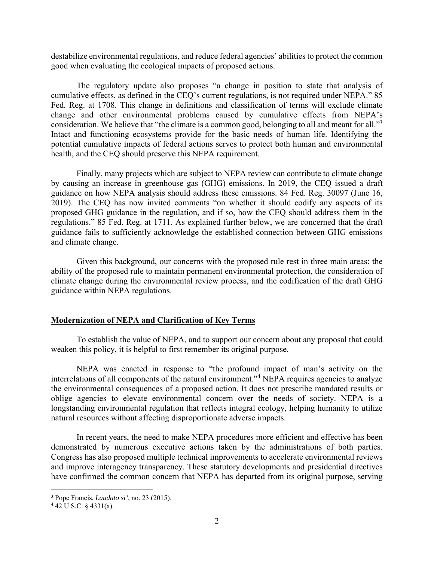destabilize environmental regulations, and reduce federal agencies' abilities to protect the common good when evaluating the ecological impacts of proposed actions.

The regulatory update also proposes "a change in position to state that analysis of cumulative effects, as defined in the CEQ's current regulations, is not required under NEPA." 85 Fed. Reg. at 1708. This change in definitions and classification of terms will exclude climate change and other environmental problems caused by cumulative effects from NEPA's consideration. We believe that "the climate is a common good, belonging to all and meant for all."<sup>3</sup> Intact and functioning ecosystems provide for the basic needs of human life. Identifying the potential cumulative impacts of federal actions serves to protect both human and environmental health, and the CEQ should preserve this NEPA requirement.

Finally, many projects which are subject to NEPA review can contribute to climate change by causing an increase in greenhouse gas (GHG) emissions. In 2019, the CEQ issued a draft guidance on how NEPA analysis should address these emissions. 84 Fed. Reg. 30097 (June 16, 2019). The CEQ has now invited comments "on whether it should codify any aspects of its proposed GHG guidance in the regulation, and if so, how the CEQ should address them in the regulations." 85 Fed. Reg. at 1711. As explained further below, we are concerned that the draft guidance fails to sufficiently acknowledge the established connection between GHG emissions and climate change.

Given this background, our concerns with the proposed rule rest in three main areas: the ability of the proposed rule to maintain permanent environmental protection, the consideration of climate change during the environmental review process, and the codification of the draft GHG guidance within NEPA regulations.

### **Modernization of NEPA and Clarification of Key Terms**

 To establish the value of NEPA, and to support our concern about any proposal that could weaken this policy, it is helpful to first remember its original purpose.

NEPA was enacted in response to "the profound impact of man's activity on the interrelations of all components of the natural environment."<sup>4</sup> NEPA requires agencies to analyze the environmental consequences of a proposed action. It does not prescribe mandated results or oblige agencies to elevate environmental concern over the needs of society. NEPA is a longstanding environmental regulation that reflects integral ecology, helping humanity to utilize natural resources without affecting disproportionate adverse impacts.

In recent years, the need to make NEPA procedures more efficient and effective has been demonstrated by numerous executive actions taken by the administrations of both parties. Congress has also proposed multiple technical improvements to accelerate environmental reviews and improve interagency transparency. These statutory developments and presidential directives have confirmed the common concern that NEPA has departed from its original purpose, serving

<sup>3</sup> Pope Francis, *Laudato si'*, no. 23 (2015). 4

 $4$  42 U.S.C. § 4331(a).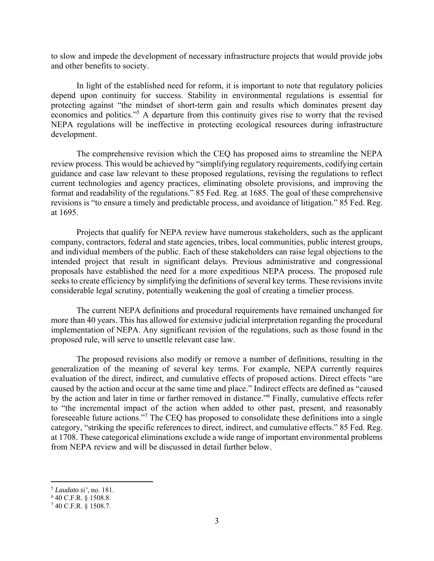to slow and impede the development of necessary infrastructure projects that would provide jobs and other benefits to society.

In light of the established need for reform, it is important to note that regulatory policies depend upon continuity for success. Stability in environmental regulations is essential for protecting against "the mindset of short-term gain and results which dominates present day economics and politics."<sup>5</sup> A departure from this continuity gives rise to worry that the revised NEPA regulations will be ineffective in protecting ecological resources during infrastructure development.

The comprehensive revision which the CEQ has proposed aims to streamline the NEPA review process. This would be achieved by "simplifying regulatory requirements, codifying certain guidance and case law relevant to these proposed regulations, revising the regulations to reflect current technologies and agency practices, eliminating obsolete provisions, and improving the format and readability of the regulations." 85 Fed. Reg. at 1685. The goal of these comprehensive revisions is "to ensure a timely and predictable process, and avoidance of litigation." 85 Fed. Reg. at 1695.

Projects that qualify for NEPA review have numerous stakeholders, such as the applicant company, contractors, federal and state agencies, tribes, local communities, public interest groups, and individual members of the public. Each of these stakeholders can raise legal objections to the intended project that result in significant delays. Previous administrative and congressional proposals have established the need for a more expeditious NEPA process. The proposed rule seeks to create efficiency by simplifying the definitions of several key terms. These revisions invite considerable legal scrutiny, potentially weakening the goal of creating a timelier process.

The current NEPA definitions and procedural requirements have remained unchanged for more than 40 years. This has allowed for extensive judicial interpretation regarding the procedural implementation of NEPA. Any significant revision of the regulations, such as those found in the proposed rule, will serve to unsettle relevant case law.

The proposed revisions also modify or remove a number of definitions, resulting in the generalization of the meaning of several key terms. For example, NEPA currently requires evaluation of the direct, indirect, and cumulative effects of proposed actions. Direct effects "are caused by the action and occur at the same time and place." Indirect effects are defined as "caused by the action and later in time or farther removed in distance."<sup>6</sup> Finally, cumulative effects refer to "the incremental impact of the action when added to other past, present, and reasonably foreseeable future actions."<sup>7</sup> The CEQ has proposed to consolidate these definitions into a single category, "striking the specific references to direct, indirect, and cumulative effects." 85 Fed. Reg. at 1708. These categorical eliminations exclude a wide range of important environmental problems from NEPA review and will be discussed in detail further below.

<sup>5</sup> *Laudato si'*, no. 181.

<sup>6</sup> 40 C.F.R. § 1508.8.

<sup>7</sup> 40 C.F.R. § 1508.7.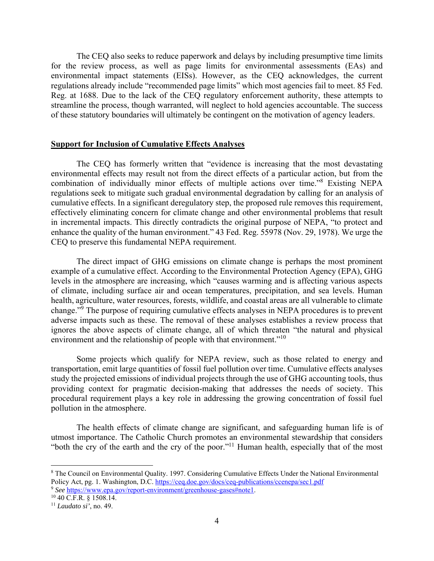The CEQ also seeks to reduce paperwork and delays by including presumptive time limits for the review process, as well as page limits for environmental assessments (EAs) and environmental impact statements (EISs). However, as the CEQ acknowledges, the current regulations already include "recommended page limits" which most agencies fail to meet. 85 Fed. Reg. at 1688. Due to the lack of the CEQ regulatory enforcement authority, these attempts to streamline the process, though warranted, will neglect to hold agencies accountable. The success of these statutory boundaries will ultimately be contingent on the motivation of agency leaders.

#### **Support for Inclusion of Cumulative Effects Analyses**

The CEQ has formerly written that "evidence is increasing that the most devastating environmental effects may result not from the direct effects of a particular action, but from the combination of individually minor effects of multiple actions over time."8 Existing NEPA regulations seek to mitigate such gradual environmental degradation by calling for an analysis of cumulative effects. In a significant deregulatory step, the proposed rule removes this requirement, effectively eliminating concern for climate change and other environmental problems that result in incremental impacts. This directly contradicts the original purpose of NEPA, "to protect and enhance the quality of the human environment." 43 Fed. Reg. 55978 (Nov. 29, 1978). We urge the CEQ to preserve this fundamental NEPA requirement.

The direct impact of GHG emissions on climate change is perhaps the most prominent example of a cumulative effect. According to the Environmental Protection Agency (EPA), GHG levels in the atmosphere are increasing, which "causes warming and is affecting various aspects of climate, including surface air and ocean temperatures, precipitation, and sea levels. Human health, agriculture, water resources, forests, wildlife, and coastal areas are all vulnerable to climate change."9 The purpose of requiring cumulative effects analyses in NEPA procedures is to prevent adverse impacts such as these. The removal of these analyses establishes a review process that ignores the above aspects of climate change, all of which threaten "the natural and physical environment and the relationship of people with that environment."<sup>10</sup>

Some projects which qualify for NEPA review, such as those related to energy and transportation, emit large quantities of fossil fuel pollution over time. Cumulative effects analyses study the projected emissions of individual projects through the use of GHG accounting tools, thus providing context for pragmatic decision-making that addresses the needs of society. This procedural requirement plays a key role in addressing the growing concentration of fossil fuel pollution in the atmosphere.

The health effects of climate change are significant, and safeguarding human life is of utmost importance. The Catholic Church promotes an environmental stewardship that considers "both the cry of the earth and the cry of the poor."11 Human health, especially that of the most

<sup>8</sup> The Council on Environmental Quality. 1997. Considering Cumulative Effects Under the National Environmental Policy Act, pg. 1. Washington, D.C. https://ceq.doe.gov/docs/ceq-publications/ccenepa/sec1.pdf <sup>9</sup> See https://www.epa.gov/report-environment/greenhouse-gases#note1.<br><sup>10</sup> 40 C.F.R. § 1508.14.

<sup>11</sup> *Laudato si'*, no. 49.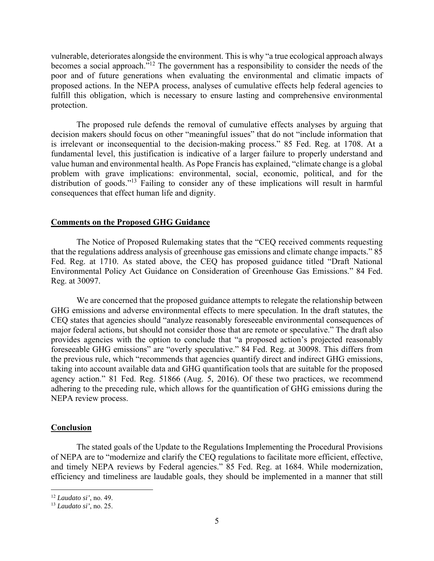vulnerable, deteriorates alongside the environment. This is why "a true ecological approach always becomes a social approach."12 The government has a responsibility to consider the needs of the poor and of future generations when evaluating the environmental and climatic impacts of proposed actions. In the NEPA process, analyses of cumulative effects help federal agencies to fulfill this obligation, which is necessary to ensure lasting and comprehensive environmental protection.

The proposed rule defends the removal of cumulative effects analyses by arguing that decision makers should focus on other "meaningful issues" that do not "include information that is irrelevant or inconsequential to the decision-making process." 85 Fed. Reg. at 1708. At a fundamental level, this justification is indicative of a larger failure to properly understand and value human and environmental health. As Pope Francis has explained, "climate change is a global problem with grave implications: environmental, social, economic, political, and for the distribution of goods."13 Failing to consider any of these implications will result in harmful consequences that effect human life and dignity.

## **Comments on the Proposed GHG Guidance**

 The Notice of Proposed Rulemaking states that the "CEQ received comments requesting that the regulations address analysis of greenhouse gas emissions and climate change impacts." 85 Fed. Reg. at 1710. As stated above, the CEQ has proposed guidance titled "Draft National Environmental Policy Act Guidance on Consideration of Greenhouse Gas Emissions." 84 Fed. Reg. at 30097.

 We are concerned that the proposed guidance attempts to relegate the relationship between GHG emissions and adverse environmental effects to mere speculation. In the draft statutes, the CEQ states that agencies should "analyze reasonably foreseeable environmental consequences of major federal actions, but should not consider those that are remote or speculative." The draft also provides agencies with the option to conclude that "a proposed action's projected reasonably foreseeable GHG emissions" are "overly speculative." 84 Fed. Reg. at 30098. This differs from the previous rule, which "recommends that agencies quantify direct and indirect GHG emissions, taking into account available data and GHG quantification tools that are suitable for the proposed agency action." 81 Fed. Reg. 51866 (Aug. 5, 2016). Of these two practices, we recommend adhering to the preceding rule, which allows for the quantification of GHG emissions during the NEPA review process.

### **Conclusion**

The stated goals of the Update to the Regulations Implementing the Procedural Provisions of NEPA are to "modernize and clarify the CEQ regulations to facilitate more efficient, effective, and timely NEPA reviews by Federal agencies." 85 Fed. Reg. at 1684. While modernization, efficiency and timeliness are laudable goals, they should be implemented in a manner that still

<sup>12</sup> *Laudato si'*, no. 49.

<sup>13</sup> *Laudato si'*, no. 25.